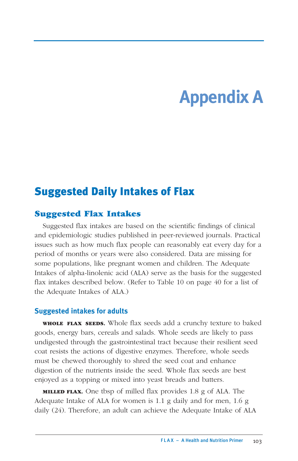# **Appendix A**

## Suggested Daily Intakes of Flax

#### **Suggested Flax Intakes**

Suggested flax intakes are based on the scientific findings of clinical and epidemiologic studies published in peer-reviewed journals. Practical issues such as how much flax people can reasonably eat every day for a period of months or years were also considered. Data are missing for some populations, like pregnant women and children. The Adequate Intakes of alpha-linolenic acid (ALA) serve as the basis for the suggested flax intakes described below. (Refer to Table 10 on page 40 for a list of the Adequate Intakes of ALA.)

#### **Suggested intakes for adults**

**WHOLE FLAX SEEDS.** Whole flax seeds add a crunchy texture to baked goods, energy bars, cereals and salads. Whole seeds are likely to pass undigested through the gastrointestinal tract because their resilient seed coat resists the actions of digestive enzymes. Therefore, whole seeds must be chewed thoroughly to shred the seed coat and enhance digestion of the nutrients inside the seed. Whole flax seeds are best enjoyed as a topping or mixed into yeast breads and batters.

**MILLED FLAX.** One tbsp of milled flax provides 1.8 g of ALA. The Adequate Intake of ALA for women is 1.1 g daily and for men, 1.6 g daily (24). Therefore, an adult can achieve the Adequate Intake of ALA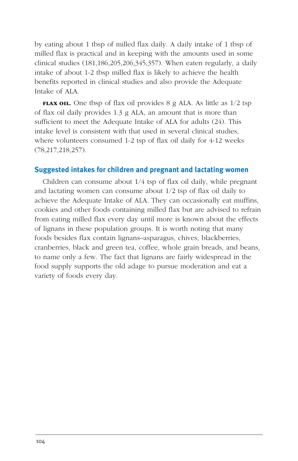by eating about 1 tbsp of milled flax daily. A daily intake of 1 tbsp of milled flax is practical and in keeping with the amounts used in some clinical studies (181,186,205,206,345,357). When eaten regularly, a daily intake of about 1-2 tbsp milled flax is likely to achieve the health benefits reported in clinical studies and also provide the Adequate Intake of ALA.

**FLAX OIL.** One tbsp of flax oil provides 8 g ALA. As little as 1/2 tsp of flax oil daily provides 1.3 g ALA, an amount that is more than sufficient to meet the Adequate Intake of ALA for adults (24). This intake level is consistent with that used in several clinical studies, where volunteers consumed 1-2 tsp of flax oil daily for 4-12 weeks (78,217,218,257).

#### **Suggested intakes for children and pregnant and lactating women**

Children can consume about 1/4 tsp of flax oil daily, while pregnant and lactating women can consume about 1/2 tsp of flax oil daily to achieve the Adequate Intake of ALA. They can occasionally eat muffins, cookies and other foods containing milled flax but are advised to refrain from eating milled flax every day until more is known about the effects of lignans in these population groups. It is worth noting that many foods besides flax contain lignans–asparagus, chives, blackberries, cranberries, black and green tea, coffee, whole grain breads, and beans, to name only a few. The fact that lignans are fairly widespread in the food supply supports the old adage to pursue moderation and eat a variety of foods every day.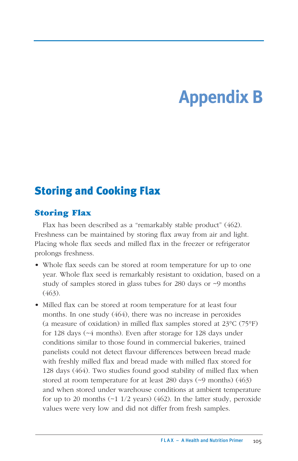# **Appendix B**

## Storing and Cooking Flax

### **Storing Flax**

Flax has been described as a "remarkably stable product" (462). Freshness can be maintained by storing flax away from air and light. Placing whole flax seeds and milled flax in the freezer or refrigerator prolongs freshness.

- Whole flax seeds can be stored at room temperature for up to one year. Whole flax seed is remarkably resistant to oxidation, based on a study of samples stored in glass tubes for 280 days or ~9 months  $(463)$ .
- Milled flax can be stored at room temperature for at least four months. In one study (464), there was no increase in peroxides (a measure of oxidation) in milled flax samples stored at 23°C (75°F) for 128 days (~4 months). Even after storage for 128 days under conditions similar to those found in commercial bakeries, trained panelists could not detect flavour differences between bread made with freshly milled flax and bread made with milled flax stored for 128 days (464). Two studies found good stability of milled flax when stored at room temperature for at least 280 days (~9 months) (463) and when stored under warehouse conditions at ambient temperature for up to 20 months  $(-1\ 1/2\ \text{years})\ (462)$ . In the latter study, peroxide values were very low and did not differ from fresh samples.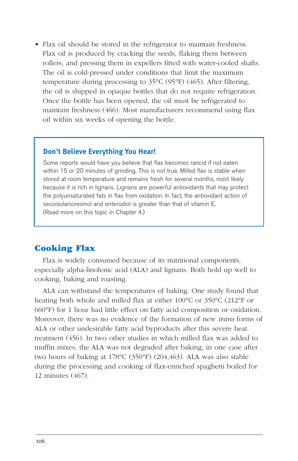• Flax oil should be stored in the refrigerator to maintain freshness. Flax oil is produced by cracking the seeds, flaking them between rollers, and pressing them in expellers fitted with water-cooled shafts. The oil is cold-pressed under conditions that limit the maximum temperature during processing to 35°C (95°F) (465). After filtering, the oil is shipped in opaque bottles that do not require refrigeration. Once the bottle has been opened, the oil must be refrigerated to maintain freshness (466). Most manufacturers recommend using flax oil within six weeks of opening the bottle.

#### **Don't Believe Everything You Hear!**

Some reports would have you believe that flax becomes rancid if not eaten within 15 or 20 minutes of grinding. This is not true. Milled flax is stable when stored at room temperature and remains fresh for several months, most likely because it is rich in lignans. Lignans are powerful antioxidants that may protect the polyunsaturated fats in flax from oxidation. In fact, the antioxidant action of secoisolariciresinol and enterodiol is greater than that of vitamin E. (Read more on this topic in Chapter 4.)

### **Cooking Flax**

Flax is widely consumed because of its nutritional components, especially alpha-linolenic acid (ALA) and lignans. Both hold up well to cooking, baking and roasting.

ALA can withstand the temperatures of baking. One study found that heating both whole and milled flax at either 100°C or 350°C (212°F or 660°F) for 1 hour had little effect on fatty acid composition or oxidation. Moreover, there was no evidence of the formation of new *trans* forms of ALA or other undesirable fatty acid byproducts after this severe heat treatment (456). In two other studies in which milled flax was added to muffin mixes, the ALA was not degraded after baking, in one case after two hours of baking at 178°C (350°F) (204,463). ALA was also stable during the processing and cooking of flax-enriched spaghetti boiled for 12 minutes (467).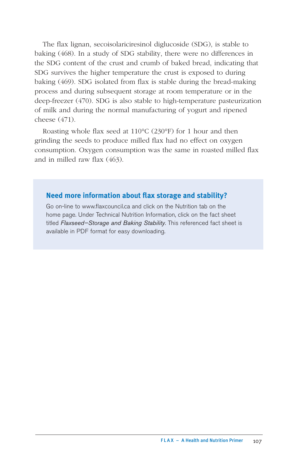The flax lignan, secoisolariciresinol diglucoside (SDG), is stable to baking (468). In a study of SDG stability, there were no differences in the SDG content of the crust and crumb of baked bread, indicating that SDG survives the higher temperature the crust is exposed to during baking (469). SDG isolated from flax is stable during the bread-making process and during subsequent storage at room temperature or in the deep-freezer (470). SDG is also stable to high-temperature pasteurization of milk and during the normal manufacturing of yogurt and ripened cheese (471).

Roasting whole flax seed at 110°C (230°F) for 1 hour and then grinding the seeds to produce milled flax had no effect on oxygen consumption. Oxygen consumption was the same in roasted milled flax and in milled raw flax (463).

#### **Need more information about flax storage and stability?**

Go on-line to www.flaxcouncil.ca and click on the Nutrition tab on the home page. Under Technical Nutrition Information, click on the fact sheet titled *Flaxseed—Storage and Baking Stability*. This referenced fact sheet is available in PDF format for easy downloading.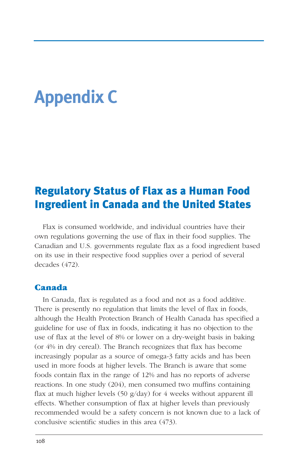# **Appendix C**

## Regulatory Status of Flax as a Human Food Ingredient in Canada and the United States

Flax is consumed worldwide, and individual countries have their own regulations governing the use of flax in their food supplies. The Canadian and U.S. governments regulate flax as a food ingredient based on its use in their respective food supplies over a period of several decades (472).

#### **Canada**

In Canada, flax is regulated as a food and not as a food additive. There is presently no regulation that limits the level of flax in foods, although the Health Protection Branch of Health Canada has specified a guideline for use of flax in foods, indicating it has no objection to the use of flax at the level of 8% or lower on a dry-weight basis in baking (or 4% in dry cereal). The Branch recognizes that flax has become increasingly popular as a source of omega-3 fatty acids and has been used in more foods at higher levels. The Branch is aware that some foods contain flax in the range of 12% and has no reports of adverse reactions. In one study (204), men consumed two muffins containing flax at much higher levels (50 g/day) for 4 weeks without apparent ill effects. Whether consumption of flax at higher levels than previously recommended would be a safety concern is not known due to a lack of conclusive scientific studies in this area (473).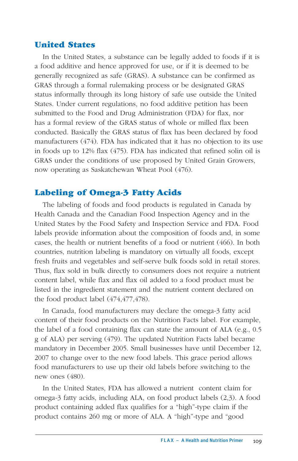### **United States**

In the United States, a substance can be legally added to foods if it is a food additive and hence approved for use, or if it is deemed to be generally recognized as safe (GRAS). A substance can be confirmed as GRAS through a formal rulemaking process or be designated GRAS status informally through its long history of safe use outside the United States. Under current regulations, no food additive petition has been submitted to the Food and Drug Administration (FDA) for flax, nor has a formal review of the GRAS status of whole or milled flax been conducted. Basically the GRAS status of flax has been declared by food manufacturers (474). FDA has indicated that it has no objection to its use in foods up to 12% flax (475). FDA has indicated that refined solin oil is GRAS under the conditions of use proposed by United Grain Growers, now operating as Saskatchewan Wheat Pool (476).

### **Labeling of Omega-3 Fatty Acids**

The labeling of foods and food products is regulated in Canada by Health Canada and the Canadian Food Inspection Agency and in the United States by the Food Safety and Inspection Service and FDA. Food labels provide information about the composition of foods and, in some cases, the health or nutrient benefits of a food or nutrient (466). In both countries, nutrition labeling is mandatory on virtually all foods, except fresh fruits and vegetables and self-serve bulk foods sold in retail stores. Thus, flax sold in bulk directly to consumers does not require a nutrient content label, while flax and flax oil added to a food product must be listed in the ingredient statement and the nutrient content declared on the food product label (474,477,478).

In Canada, food manufacturers may declare the omega-3 fatty acid content of their food products on the Nutrition Facts label. For example, the label of a food containing flax can state the amount of ALA (e.g., 0.5 g of ALA) per serving (479). The updated Nutrition Facts label became mandatory in December 2005. Small businesses have until December 12, 2007 to change over to the new food labels. This grace period allows food manufacturers to use up their old labels before switching to the new ones (480).

In the United States, FDA has allowed a nutrient content claim for omega-3 fatty acids, including ALA, on food product labels (2,3). A food product containing added flax qualifies for a "high"-type claim if the product contains 260 mg or more of ALA. A "high"-type and "good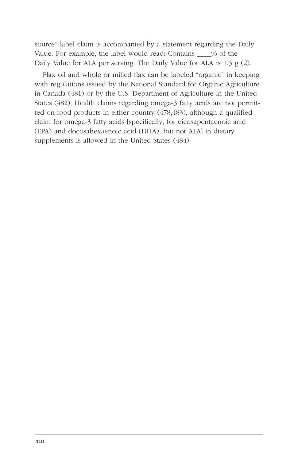source" label claim is accompanied by a statement regarding the Daily Value. For example, the label would read: Contains  $\frac{1}{2}$  % of the Daily Value for ALA per serving. The Daily Value for ALA is 1.3 g (2).

Flax oil and whole or milled flax can be labeled "organic" in keeping with regulations issued by the National Standard for Organic Agriculture in Canada (481) or by the U.S. Department of Agriculture in the United States (482). Health claims regarding omega-3 fatty acids are not permitted on food products in either country (478,483), although a qualified claim for omega-3 fatty acids [specifically, for eicosapentaenoic acid (EPA) and docosahexaenoic acid (DHA), but not ALA] in dietary supplements is allowed in the United States (484).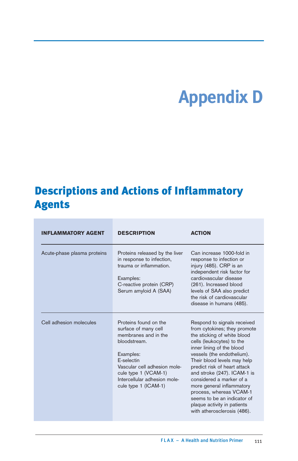# **Appendix D**

## Descriptions and Actions of Inflammatory Agents

| <b>INFLAMMATORY AGENT</b>   | <b>DESCRIPTION</b>                                                                                                                                                                                                               | <b>ACTION</b>                                                                                                                                                                                                                                                                                                                                                                                                                                                     |
|-----------------------------|----------------------------------------------------------------------------------------------------------------------------------------------------------------------------------------------------------------------------------|-------------------------------------------------------------------------------------------------------------------------------------------------------------------------------------------------------------------------------------------------------------------------------------------------------------------------------------------------------------------------------------------------------------------------------------------------------------------|
| Acute-phase plasma proteins | Proteins released by the liver<br>in response to infection,<br>trauma or inflammation.<br>Examples:<br>C-reactive protein (CRP)<br>Serum amyloid A (SAA)                                                                         | Can increase 1000-fold in<br>response to infection or<br>injury (485). CRP is an<br>independent risk factor for<br>cardiovascular disease<br>(261). Increased blood<br>levels of SAA also predict<br>the risk of cardiovascular<br>disease in humans (485).                                                                                                                                                                                                       |
| Cell adhesion molecules     | Proteins found on the<br>surface of many cell<br>membranes and in the<br>bloodstream.<br>Examples:<br>F-selectin<br>Vascular cell adhesion mole-<br>cule type 1 (VCAM-1)<br>Intercellular adhesion mole-<br>cule type 1 (ICAM-1) | Respond to signals received<br>from cytokines; they promote<br>the sticking of white blood<br>cells (leukocytes) to the<br>inner lining of the blood<br>vessels (the endothelium).<br>Their blood levels may help<br>predict risk of heart attack<br>and stroke (247). ICAM-1 is<br>considered a marker of a<br>more general inflammatory<br>process, whereas VCAM-1<br>seems to be an indicator of<br>plaque activity in patients<br>with atherosclerosis (486). |